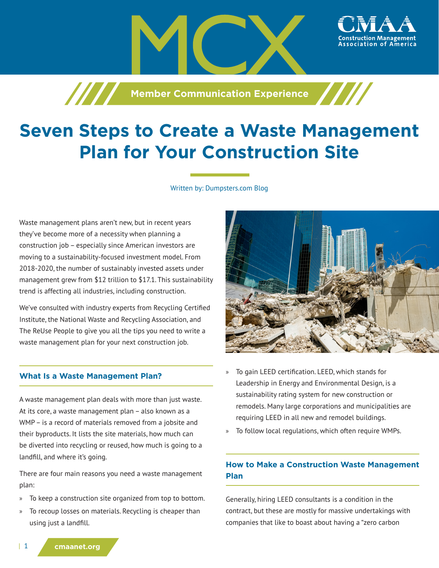**Member Communication Experience** 

# **Seven Steps to Create a Waste Management Plan for Your Construction Site**

Written by: Dumpsters.com Blog

Waste management plans aren't new, but in recent years they've become more of a necessity when planning a construction job – especially since American investors are moving to a sustainability-focused investment model. From 2018-2020, the number of sustainably invested assets under management grew from \$12 trillion to \$17.1. This sustainability trend is affecting all industries, including construction.

We've consulted with industry experts from Recycling Certified Institute, the National Waste and Recycling Association, and The ReUse People to give you all the tips you need to write a waste management plan for your next construction job.

# **What Is a Waste Management Plan?**

A waste management plan deals with more than just waste. At its core, a waste management plan – also known as a WMP – is a record of materials removed from a jobsite and their byproducts. It lists the site materials, how much can be diverted into recycling or reused, how much is going to a landfill, and where it's going.

There are four main reasons you need a waste management plan:

- » To keep a construction site organized from top to bottom.
- » To recoup losses on materials. Recycling is cheaper than using just a landfill.



ssociation of America

- » To gain LEED certification. LEED, which stands for Leadership in Energy and Environmental Design, is a sustainability rating system for new construction or remodels. Many large corporations and municipalities are requiring LEED in all new and remodel buildings.
- » To follow local regulations, which often require WMPs.

# **How to Make a Construction Waste Management Plan**

Generally, hiring LEED consultants is a condition in the contract, but these are mostly for massive undertakings with companies that like to boast about having a "zero carbon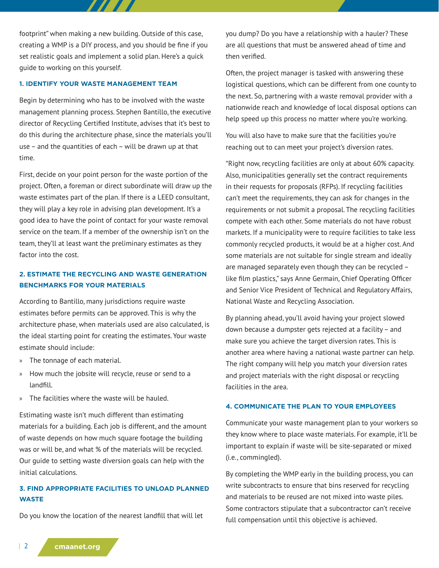footprint" when making a new building. Outside of this case, creating a WMP is a DIY process, and you should be fine if you set realistic goals and implement a solid plan. Here's a quick guide to working on this yourself.

 $\boldsymbol{H}$ 

### **1. IDENTIFY YOUR WASTE MANAGEMENT TEAM**

Begin by determining who has to be involved with the waste management planning process. Stephen Bantillo, the executive director of Recycling Certified Institute, advises that it's best to do this during the architecture phase, since the materials you'll use – and the quantities of each – will be drawn up at that time.

First, decide on your point person for the waste portion of the project. Often, a foreman or direct subordinate will draw up the waste estimates part of the plan. If there is a LEED consultant, they will play a key role in advising plan development. It's a good idea to have the point of contact for your waste removal service on the team. If a member of the ownership isn't on the team, they'll at least want the preliminary estimates as they factor into the cost.

# **2. ESTIMATE THE RECYCLING AND WASTE GENERATION BENCHMARKS FOR YOUR MATERIALS**

According to Bantillo, many jurisdictions require waste estimates before permits can be approved. This is why the architecture phase, when materials used are also calculated, is the ideal starting point for creating the estimates. Your waste estimate should include:

- » The tonnage of each material.
- » How much the jobsite will recycle, reuse or send to a landfill.
- » The facilities where the waste will be hauled.

Estimating waste isn't much different than estimating materials for a building. Each job is different, and the amount of waste depends on how much square footage the building was or will be, and what % of the materials will be recycled. Our guide to setting waste diversion goals can help with the initial calculations.

# **3. FIND APPROPRIATE FACILITIES TO UNLOAD PLANNED WASTE**

Do you know the location of the nearest landfill that will let

you dump? Do you have a relationship with a hauler? These are all questions that must be answered ahead of time and then verified.

Often, the project manager is tasked with answering these logistical questions, which can be different from one county to the next. So, partnering with a waste removal provider with a nationwide reach and knowledge of local disposal options can help speed up this process no matter where you're working.

You will also have to make sure that the facilities you're reaching out to can meet your project's diversion rates.

"Right now, recycling facilities are only at about 60% capacity. Also, municipalities generally set the contract requirements in their requests for proposals (RFPs). If recycling facilities can't meet the requirements, they can ask for changes in the requirements or not submit a proposal. The recycling facilities compete with each other. Some materials do not have robust markets. If a municipality were to require facilities to take less commonly recycled products, it would be at a higher cost. And some materials are not suitable for single stream and ideally are managed separately even though they can be recycled – like film plastics," says Anne Germain, Chief Operating Officer and Senior Vice President of Technical and Regulatory Affairs, National Waste and Recycling Association.

By planning ahead, you'll avoid having your project slowed down because a dumpster gets rejected at a facility – and make sure you achieve the target diversion rates. This is another area where having a national waste partner can help. The right company will help you match your diversion rates and project materials with the right disposal or recycling facilities in the area.

#### **4. COMMUNICATE THE PLAN TO YOUR EMPLOYEES**

Communicate your waste management plan to your workers so they know where to place waste materials. For example, it'll be important to explain if waste will be site-separated or mixed (i.e., commingled).

By completing the WMP early in the building process, you can write subcontracts to ensure that bins reserved for recycling and materials to be reused are not mixed into waste piles. Some contractors stipulate that a subcontractor can't receive full compensation until this objective is achieved.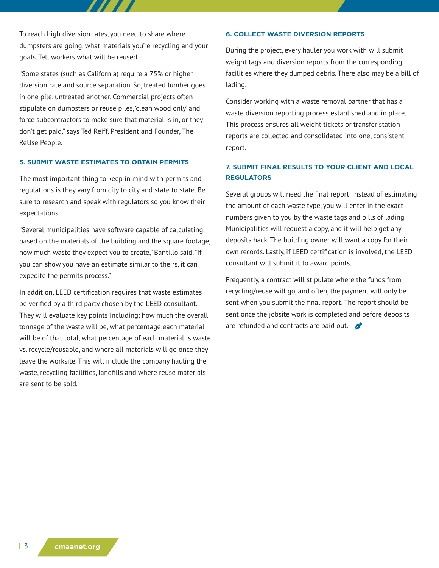To reach high diversion rates, you need to share where dumpsters are going, what materials you're recycling and your goals. Tell workers what will be reused.

"Some states (such as California) require a 75% or higher diversion rate and source separation. So, treated lumber goes in one pile, untreated another. Commercial projects often stipulate on dumpsters or reuse piles, 'clean wood only' and force subcontractors to make sure that material is in, or they don't get paid," says Ted Reiff, President and Founder, The ReUse People.

### **5. SUBMIT WASTE ESTIMATES TO OBTAIN PERMITS**

The most important thing to keep in mind with permits and regulations is they vary from city to city and state to state. Be sure to research and speak with regulators so you know their expectations.

"Several municipalities have software capable of calculating, based on the materials of the building and the square footage, how much waste they expect you to create," Bantillo said. "If you can show you have an estimate similar to theirs, it can expedite the permits process."

In addition, LEED certification requires that waste estimates be verified by a third party chosen by the LEED consultant. They will evaluate key points including: how much the overall tonnage of the waste will be, what percentage each material will be of that total, what percentage of each material is waste vs. recycle/reusable, and where all materials will go once they leave the worksite. This will include the company hauling the waste, recycling facilities, landfills and where reuse materials are sent to be sold.

#### **6. COLLECT WASTE DIVERSION REPORTS**

During the project, every hauler you work with will submit weight tags and diversion reports from the corresponding facilities where they dumped debris. There also may be a bill of lading.

Consider working with a waste removal partner that has a waste diversion reporting process established and in place. This process ensures all weight tickets or transfer station reports are collected and consolidated into one, consistent report.

# **7. SUBMIT FINAL RESULTS TO YOUR CLIENT AND LOCAL REGULATORS**

Several groups will need the final report. Instead of estimating the amount of each waste type, you will enter in the exact numbers given to you by the waste tags and bills of lading. Municipalities will request a copy, and it will help get any deposits back. The building owner will want a copy for their own records. Lastly, if LEED certification is involved, the LEED consultant will submit it to award points.

Frequently, a contract will stipulate where the funds from recycling/reuse will go, and often, the payment will only be sent when you submit the final report. The report should be sent once the jobsite work is completed and before deposits are refunded and contracts are paid out.  $\bullet$